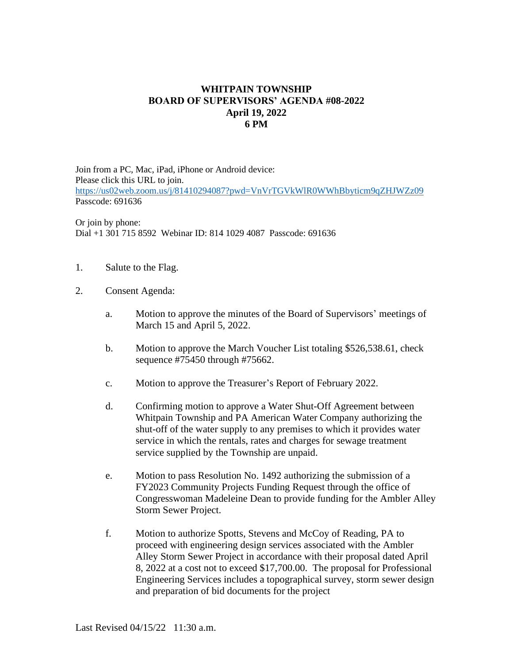## **WHITPAIN TOWNSHIP BOARD OF SUPERVISORS' AGENDA #08-2022 April 19, 2022 6 PM**

Join from a PC, Mac, iPad, iPhone or Android device: Please click this URL to join. <https://us02web.zoom.us/j/81410294087?pwd=VnVrTGVkWlR0WWhBbyticm9qZHJWZz09> Passcode: 691636

Or join by phone: Dial +1 301 715 8592 Webinar ID: 814 1029 4087 Passcode: 691636

- 1. Salute to the Flag.
- 2. Consent Agenda:
	- a. Motion to approve the minutes of the Board of Supervisors' meetings of March 15 and April 5, 2022.
	- b. Motion to approve the March Voucher List totaling \$526,538.61, check sequence #75450 through #75662.
	- c. Motion to approve the Treasurer's Report of February 2022.
	- d. Confirming motion to approve a Water Shut-Off Agreement between Whitpain Township and PA American Water Company authorizing the shut-off of the water supply to any premises to which it provides water service in which the rentals, rates and charges for sewage treatment service supplied by the Township are unpaid.
	- e. Motion to pass Resolution No. 1492 authorizing the submission of a FY2023 Community Projects Funding Request through the office of Congresswoman Madeleine Dean to provide funding for the Ambler Alley Storm Sewer Project.
	- f. Motion to authorize Spotts, Stevens and McCoy of Reading, PA to proceed with engineering design services associated with the Ambler Alley Storm Sewer Project in accordance with their proposal dated April 8, 2022 at a cost not to exceed \$17,700.00. The proposal for Professional Engineering Services includes a topographical survey, storm sewer design and preparation of bid documents for the project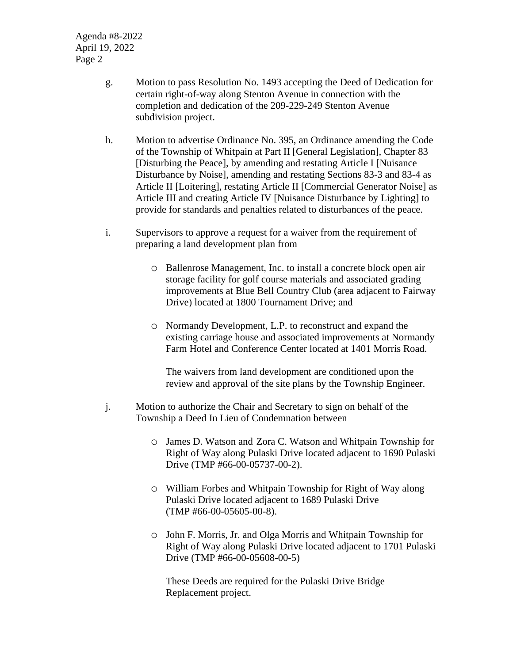- g. Motion to pass Resolution No. 1493 accepting the Deed of Dedication for certain right-of-way along Stenton Avenue in connection with the completion and dedication of the 209-229-249 Stenton Avenue subdivision project.
- h. Motion to advertise Ordinance No. 395, an Ordinance amending the Code of the Township of Whitpain at Part II [General Legislation], Chapter 83 [Disturbing the Peace], by amending and restating Article I [Nuisance Disturbance by Noise], amending and restating Sections 83-3 and 83-4 as Article II [Loitering], restating Article II [Commercial Generator Noise] as Article III and creating Article IV [Nuisance Disturbance by Lighting] to provide for standards and penalties related to disturbances of the peace.
- i. Supervisors to approve a request for a waiver from the requirement of preparing a land development plan from
	- o Ballenrose Management, Inc. to install a concrete block open air storage facility for golf course materials and associated grading improvements at Blue Bell Country Club (area adjacent to Fairway Drive) located at 1800 Tournament Drive; and
	- o Normandy Development, L.P. to reconstruct and expand the existing carriage house and associated improvements at Normandy Farm Hotel and Conference Center located at 1401 Morris Road.

The waivers from land development are conditioned upon the review and approval of the site plans by the Township Engineer.

- j. Motion to authorize the Chair and Secretary to sign on behalf of the Township a Deed In Lieu of Condemnation between
	- o James D. Watson and Zora C. Watson and Whitpain Township for Right of Way along Pulaski Drive located adjacent to 1690 Pulaski Drive (TMP #66-00-05737-00-2).
	- o William Forbes and Whitpain Township for Right of Way along Pulaski Drive located adjacent to 1689 Pulaski Drive (TMP #66-00-05605-00-8).
	- o John F. Morris, Jr. and Olga Morris and Whitpain Township for Right of Way along Pulaski Drive located adjacent to 1701 Pulaski Drive (TMP #66-00-05608-00-5)

These Deeds are required for the Pulaski Drive Bridge Replacement project.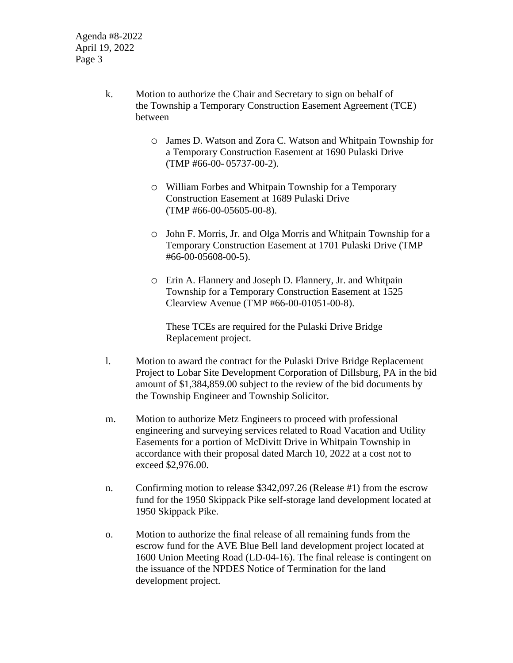- k. Motion to authorize the Chair and Secretary to sign on behalf of the Township a Temporary Construction Easement Agreement (TCE) between
	- o James D. Watson and Zora C. Watson and Whitpain Township for a Temporary Construction Easement at 1690 Pulaski Drive (TMP #66-00- 05737-00-2).
	- o William Forbes and Whitpain Township for a Temporary Construction Easement at 1689 Pulaski Drive (TMP #66-00-05605-00-8).
	- o John F. Morris, Jr. and Olga Morris and Whitpain Township for a Temporary Construction Easement at 1701 Pulaski Drive (TMP #66-00-05608-00-5).
	- o Erin A. Flannery and Joseph D. Flannery, Jr. and Whitpain Township for a Temporary Construction Easement at 1525 Clearview Avenue (TMP #66-00-01051-00-8).

These TCEs are required for the Pulaski Drive Bridge Replacement project.

- l. Motion to award the contract for the Pulaski Drive Bridge Replacement Project to Lobar Site Development Corporation of Dillsburg, PA in the bid amount of \$1,384,859.00 subject to the review of the bid documents by the Township Engineer and Township Solicitor.
- m. Motion to authorize Metz Engineers to proceed with professional engineering and surveying services related to Road Vacation and Utility Easements for a portion of McDivitt Drive in Whitpain Township in accordance with their proposal dated March 10, 2022 at a cost not to exceed \$2,976.00.
- n. Confirming motion to release \$342,097.26 (Release #1) from the escrow fund for the 1950 Skippack Pike self-storage land development located at 1950 Skippack Pike.
- o. Motion to authorize the final release of all remaining funds from the escrow fund for the AVE Blue Bell land development project located at 1600 Union Meeting Road (LD-04-16). The final release is contingent on the issuance of the NPDES Notice of Termination for the land development project.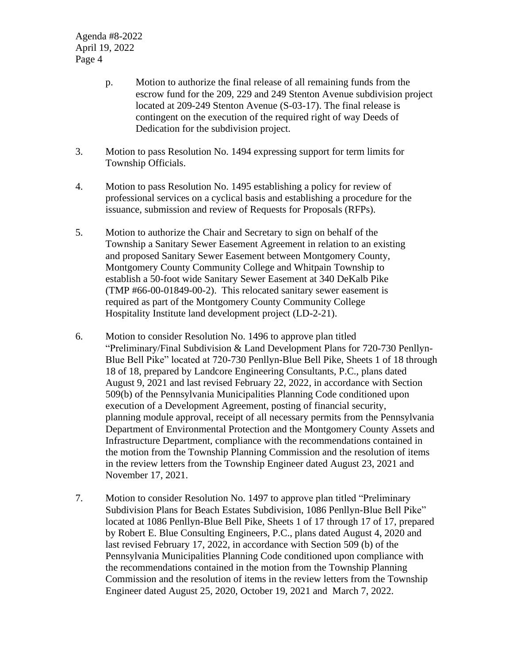- p. Motion to authorize the final release of all remaining funds from the escrow fund for the 209, 229 and 249 Stenton Avenue subdivision project located at 209-249 Stenton Avenue (S-03-17). The final release is contingent on the execution of the required right of way Deeds of Dedication for the subdivision project.
- 3. Motion to pass Resolution No. 1494 expressing support for term limits for Township Officials.
- 4. Motion to pass Resolution No. 1495 establishing a policy for review of professional services on a cyclical basis and establishing a procedure for the issuance, submission and review of Requests for Proposals (RFPs).
- 5. Motion to authorize the Chair and Secretary to sign on behalf of the Township a Sanitary Sewer Easement Agreement in relation to an existing and proposed Sanitary Sewer Easement between Montgomery County, Montgomery County Community College and Whitpain Township to establish a 50-foot wide Sanitary Sewer Easement at 340 DeKalb Pike (TMP #66-00-01849-00-2). This relocated sanitary sewer easement is required as part of the Montgomery County Community College Hospitality Institute land development project (LD-2-21).
- 6. Motion to consider Resolution No. 1496 to approve plan titled "Preliminary/Final Subdivision & Land Development Plans for 720-730 Penllyn-Blue Bell Pike" located at 720-730 Penllyn-Blue Bell Pike, Sheets 1 of 18 through 18 of 18, prepared by Landcore Engineering Consultants, P.C., plans dated August 9, 2021 and last revised February 22, 2022, in accordance with Section 509(b) of the Pennsylvania Municipalities Planning Code conditioned upon execution of a Development Agreement, posting of financial security, planning module approval, receipt of all necessary permits from the Pennsylvania Department of Environmental Protection and the Montgomery County Assets and Infrastructure Department, compliance with the recommendations contained in the motion from the Township Planning Commission and the resolution of items in the review letters from the Township Engineer dated August 23, 2021 and November 17, 2021.
- 7. Motion to consider Resolution No. 1497 to approve plan titled "Preliminary Subdivision Plans for Beach Estates Subdivision, 1086 Penllyn-Blue Bell Pike" located at 1086 Penllyn-Blue Bell Pike, Sheets 1 of 17 through 17 of 17, prepared by Robert E. Blue Consulting Engineers, P.C., plans dated August 4, 2020 and last revised February 17, 2022, in accordance with Section 509 (b) of the Pennsylvania Municipalities Planning Code conditioned upon compliance with the recommendations contained in the motion from the Township Planning Commission and the resolution of items in the review letters from the Township Engineer dated August 25, 2020, October 19, 2021 and March 7, 2022.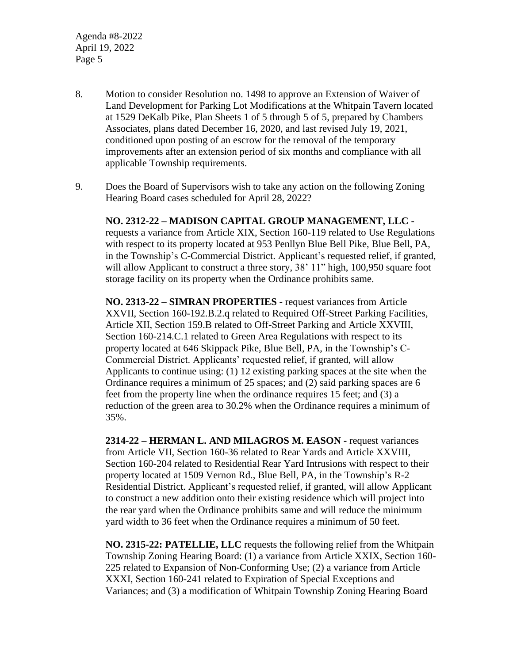- 8. Motion to consider Resolution no. 1498 to approve an Extension of Waiver of Land Development for Parking Lot Modifications at the Whitpain Tavern located at 1529 DeKalb Pike, Plan Sheets 1 of 5 through 5 of 5, prepared by Chambers Associates, plans dated December 16, 2020, and last revised July 19, 2021, conditioned upon posting of an escrow for the removal of the temporary improvements after an extension period of six months and compliance with all applicable Township requirements.
- 9. Does the Board of Supervisors wish to take any action on the following Zoning Hearing Board cases scheduled for April 28, 2022?

**NO. 2312-22 – MADISON CAPITAL GROUP MANAGEMENT, LLC**  requests a variance from Article XIX, Section 160-119 related to Use Regulations with respect to its property located at 953 Penllyn Blue Bell Pike, Blue Bell, PA, in the Township's C-Commercial District. Applicant's requested relief, if granted, will allow Applicant to construct a three story, 38' 11" high, 100,950 square foot storage facility on its property when the Ordinance prohibits same.

**NO. 2313-22 – SIMRAN PROPERTIES -** request variances from Article XXVII, Section 160-192.B.2.q related to Required Off-Street Parking Facilities, Article XII, Section 159.B related to Off-Street Parking and Article XXVIII, Section 160-214.C.1 related to Green Area Regulations with respect to its property located at 646 Skippack Pike, Blue Bell, PA, in the Township's C-Commercial District. Applicants' requested relief, if granted, will allow Applicants to continue using: (1) 12 existing parking spaces at the site when the Ordinance requires a minimum of 25 spaces; and (2) said parking spaces are 6 feet from the property line when the ordinance requires 15 feet; and (3) a reduction of the green area to 30.2% when the Ordinance requires a minimum of 35%.

**2314-22 – HERMAN L. AND MILAGROS M. EASON -** request variances from Article VII, Section 160-36 related to Rear Yards and Article XXVIII, Section 160-204 related to Residential Rear Yard Intrusions with respect to their property located at 1509 Vernon Rd., Blue Bell, PA, in the Township's R-2 Residential District. Applicant's requested relief, if granted, will allow Applicant to construct a new addition onto their existing residence which will project into the rear yard when the Ordinance prohibits same and will reduce the minimum yard width to 36 feet when the Ordinance requires a minimum of 50 feet.

**NO. 2315-22: PATELLIE, LLC** requests the following relief from the Whitpain Township Zoning Hearing Board: (1) a variance from Article XXIX, Section 160- 225 related to Expansion of Non-Conforming Use; (2) a variance from Article XXXI, Section 160-241 related to Expiration of Special Exceptions and Variances; and (3) a modification of Whitpain Township Zoning Hearing Board